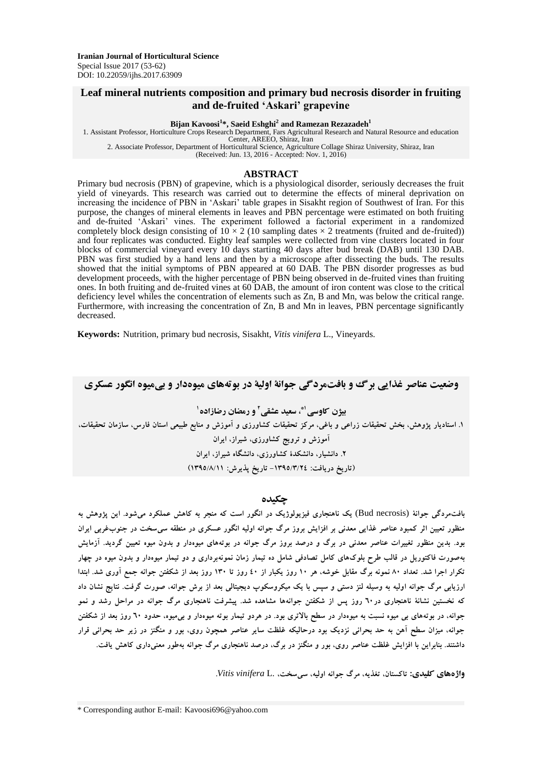# **Leaf mineral nutrients composition and primary bud necrosis disorder in fruiting and de-fruited 'Askari' grapevine**

#### **Bijan Kavoosi<sup>1</sup> \*, Saeid Eshghi<sup>2</sup> and Ramezan Rezazadeh<sup>1</sup>**

1. Assistant Professor, Horticulture Crops Research Department, Fars Agricultural Research and Natural Resource and education Center, AREEO, Shiraz, Iran

2. Associate Professor, Department of Horticultural Science, Agriculture Collage Shiraz University, Shiraz, Iran

(Received: Jun. 13, 2016 - Accepted: Nov. 1, 2016)

### **ABSTRACT**

Primary bud necrosis (PBN) of grapevine, which is a physiological disorder, seriously decreases the fruit yield of vineyards. This research was carried out to determine the effects of mineral deprivation on increasing the incidence of PBN in 'Askari' table grapes in Sisakht region of Southwest of Iran. For this purpose, the changes of mineral elements in leaves and PBN percentage were estimated on both fruiting and de-fruited 'Askari' vines. The experiment followed a factorial experiment in a randomized completely block design consisting of  $10 \times 2$  (10 sampling dates  $\times$  2 treatments (fruited and de-fruited)) and four replicates was conducted. Eighty leaf samples were collected from vine clusters located in four blocks of commercial vineyard every 10 days starting 40 days after bud break (DAB) until 130 DAB. PBN was first studied by a hand lens and then by a microscope after dissecting the buds. The results showed that the initial symptoms of PBN appeared at 60 DAB. The PBN disorder progresses as bud development proceeds, with the higher percentage of PBN being observed in de-fruited vines than fruiting ones. In both fruiting and de-fruited vines at 60 DAB, the amount of iron content was close to the critical deficiency level whiles the concentration of elements such as Zn, B and Mn, was below the critical range. Furthermore, with increasing the concentration of Zn, B and Mn in leaves, PBN percentage significantly decreased.

**Keywords:** Nutrition, primary bud necrosis, Sisakht, *Vitis vinifera* L., Vineyards.

**وضعیت عناصر غذایی برگ و بافتمردگی جوانۀ اولیۀ در بوتههای میوهدار و بیمیوه انگور عسکری ، سعید عشقی 1\* بیژن کاوسی 2 1 و رمضان رضازاده** ۱. استادیار پژوهش، بخش تحقیقات زراعی و باغی، مرکز تحقیقات کشاورزی و آموزش و منابع طبیعی استان فارس، سازمان تحقیقات، **آموزش و ترویج کشاورزی، شیراز، ایران .2 دانشیار، دانشکدۀ کشاورزی، دانشگاه شیراز، ایران )تاریخ دریافت: -1395/3/24 تاریخ پذیرش: 1395/8/11(**

### **چکیده**

**بافتمردگی جوانۀ** (necrosis Bud (**یک ناهنجاری فیزیولوژیک در انگور است که منجر به کاهش عملکرد میشود. این پژوهش به منظور تعیین اثر کمبود عناصر غذایی معدنی بر افزایش بروز مرگ جوانه اولیه انگور عسکری در منطقه سیسخت در جنوبغربی ایران بود. بدین منظور تغییرات عناصر معدنی در برگ و درصد بروز مرگ جوانه در بوتههای میوهدار و بدون میوه تعیین گردید. آزمایش بهصورت فاکتوریل در قالب طرح بلوکهای کامل تصادفی شامل ده تیمار زمان نمونهبرداری و دو تیمار میوهدار و بدون میوه در چهار تکرار اجرا شد. تعداد 80 نمونه برگ مقابل خوشه، هر 10 روز یکبار از 40 روز تا 130 روز بعد از شکفتن جوانه جمع آوری شد. ابتدا ارزیابی مرگ جوانه اولیه به وسیله لنز دستی و سپس با یک میکروسکوپ دیجیتالی بعد از برش جوانه، صورت گرفت. نتایج نشان داد که نخستین نشانۀ ناهنجاری در60 روز پس از شکفتن جوانهها مشاهده شد. پیشرفت ناهنجاری مرگ جوانه در مراحل رشد و نمو جوانه، در بوتههای بی میوه نسبت به میوهدار در سطح باالتری بود. در هردو تیمار بوته میوهدار و بیمیوه، حدود 60 روز بعد از شکفتن جوانه، میزان سطح آهن به حد بحرانی نزدیک بود درحالیکه غلظت سایر عناصر همچون روی، بور و منگنز در زیر حد بحرانی قرار داشتند. بنابراین با افزایش غلظت عناصر روی، بور و منگنز در برگ، درصد ناهنجاری مرگ جوانه بهطور معنیداری کاهش یافت.**

**واژههای کلیدی: تاکستان، تغذیه، مرگ جوانه اولیه، سیسخت،** .L *vinifera Vitis***.**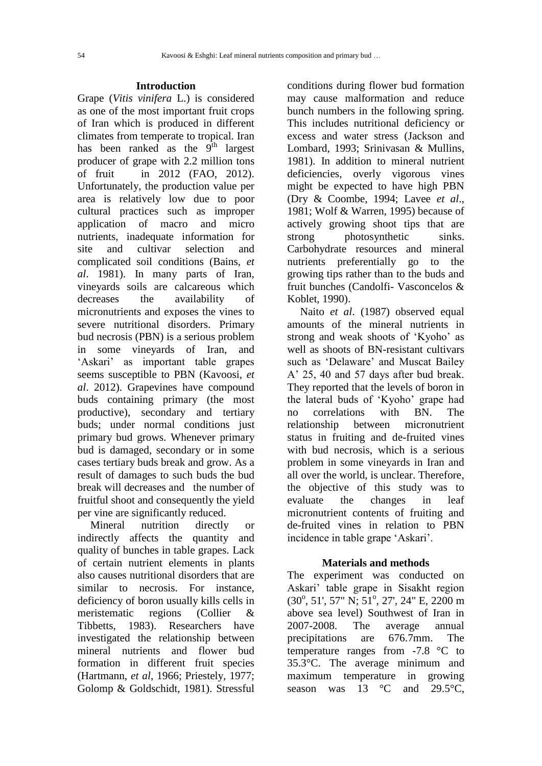## **Introduction**

Grape (*Vitis vinifera* L.) is considered as one of the most important fruit crops of Iran which is produced in different climates from temperate to tropical. Iran has been ranked as the  $9<sup>th</sup>$  largest producer of grape with 2.2 million tons of fruit in 2012 (FAO, 2012). Unfortunately, the production value per area is relatively low due to poor cultural practices such as improper application of macro and micro nutrients, inadequate information for site and cultivar selection and complicated soil conditions (Bains, *et al*. 1981). In many parts of Iran, vineyards soils are calcareous which decreases the availability of micronutrients and exposes the vines to severe nutritional disorders. Primary bud necrosis (PBN) is a serious problem in some vineyards of Iran, and 'Askari' as important table grapes seems susceptible to PBN (Kavoosi, *et al*. 2012). Grapevines have compound buds containing primary (the most productive), secondary and tertiary buds; under normal conditions just primary bud grows. Whenever primary bud is damaged, secondary or in some cases tertiary buds break and grow. As a result of damages to such buds the bud break will decreases and the number of fruitful shoot and consequently the yield per vine are significantly reduced.

Mineral nutrition directly or indirectly affects the quantity and quality of bunches in table grapes. Lack of certain nutrient elements in plants also causes nutritional disorders that are similar to necrosis. For instance, deficiency of boron usually kills cells in meristematic regions (Collier & Tibbetts, 1983). Researchers have investigated the relationship between mineral nutrients and flower bud formation in different fruit species (Hartmann, *et al*, 1966; Priestely, 1977; Golomp & Goldschidt, 1981). Stressful conditions during flower bud formation may cause malformation and reduce bunch numbers in the following spring. This includes nutritional deficiency or excess and water stress (Jackson and Lombard, 1993; Srinivasan & Mullins, 1981). In addition to mineral nutrient deficiencies, overly vigorous vines might be expected to have high PBN (Dry & Coombe, 1994; Lavee *et al*., 1981; Wolf & Warren, 1995) because of actively growing shoot tips that are strong photosynthetic sinks. Carbohydrate resources and mineral nutrients preferentially go to the growing tips rather than to the buds and fruit bunches (Candolfi- Vasconcelos & Koblet, 1990).

Naito *et al*. (1987) observed equal amounts of the mineral nutrients in strong and weak shoots of 'Kyoho' as well as shoots of BN-resistant cultivars such as 'Delaware' and Muscat Bailey A' 25, 40 and 57 days after bud break. They reported that the levels of boron in the lateral buds of 'Kyoho' grape had no correlations with BN. The relationship between micronutrient status in fruiting and de-fruited vines with bud necrosis, which is a serious problem in some vineyards in Iran and all over the world, is unclear. Therefore, the objective of this study was to evaluate the changes in leaf micronutrient contents of fruiting and de-fruited vines in relation to PBN incidence in table grape 'Askari'.

## **Materials and methods**

The experiment was conducted on Askari' table grape in Sisakht region  $(30^{\circ}, 51', 57'' \text{ N}; 51^{\circ}, 27', 24'' \text{ E}, 2200 \text{ m})$ above sea level) Southwest of Iran in 2007-2008. The average annual precipitations are 676.7mm. The temperature ranges from -7.8 °C to 35.3°C. The average minimum and maximum temperature in growing season was  $13 \text{ °C}$  and  $29.5 \text{ °C}$ .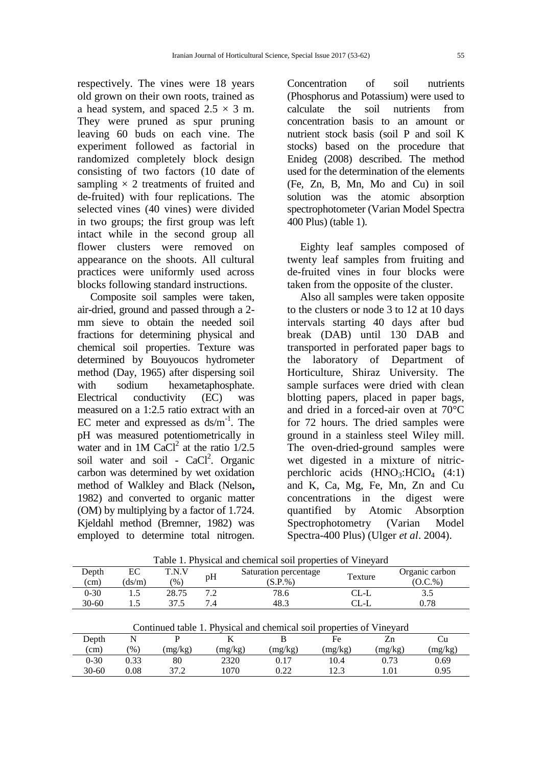respectively. The vines were 18 years old grown on their own roots, trained as a head system, and spaced  $2.5 \times 3$  m. They were pruned as spur pruning leaving 60 buds on each vine. The experiment followed as factorial in randomized completely block design consisting of two factors (10 date of sampling  $\times$  2 treatments of fruited and de-fruited) with four replications. The selected vines (40 vines) were divided in two groups; the first group was left intact while in the second group all flower clusters were removed on appearance on the shoots. All cultural practices were uniformly used across blocks following standard instructions.

Composite soil samples were taken, air-dried, ground and passed through a 2 mm sieve to obtain the needed soil fractions for determining physical and chemical soil properties. Texture was determined by Bouyoucos hydrometer method (Day, 1965) after dispersing soil with sodium hexametaphosphate. Electrical conductivity (EC) was measured on a 1:2.5 ratio extract with an EC meter and expressed as  $ds/m^{-1}$ . The pH was measured potentiometrically in water and in  $1M$  CaCl<sup>2</sup> at the ratio  $1/2.5$ soil water and soil - CaCl<sup>2</sup>. Organic carbon was determined by wet oxidation method of Walkley and Black (Nelson**,**  1982) and converted to organic matter (OM) by multiplying by a factor of 1.724. Kjeldahl method (Bremner, 1982) was employed to determine total nitrogen.

Concentration of soil nutrients (Phosphorus and Potassium) were used to calculate the soil nutrients from concentration basis to an amount or nutrient stock basis (soil P and soil K stocks) based on the procedure that Enideg (2008) described. The method used for the determination of the elements (Fe, Zn, B, Mn, Mo and Cu) in soil solution was the atomic absorption spectrophotometer (Varian Model Spectra 400 Plus) (table 1).

Eighty leaf samples composed of twenty leaf samples from fruiting and de-fruited vines in four blocks were taken from the opposite of the cluster.

Also all samples were taken opposite to the clusters or node 3 to 12 at 10 days intervals starting 40 days after bud break (DAB) until 130 DAB and transported in perforated paper bags to the laboratory of Department of Horticulture, Shiraz University. The sample surfaces were dried with clean blotting papers, placed in paper bags, and dried in a forced-air oven at 70°C for 72 hours. The dried samples were ground in a stainless steel Wiley mill. The oven-dried-ground samples were wet digested in a mixture of nitricperchloric acids  $(HNO<sub>3</sub>:HClO<sub>4</sub> (4:1))$ and K, Ca, Mg, Fe, Mn, Zn and Cu concentrations in the digest were quantified by Atomic Absorption Spectrophotometry (Varian Model Spectra-400 Plus) (Ulger *et al*. 2004).

| Depth                                                                | EC      | T.N.V   | pH      | Saturation percentage | Texture |         | Organic carbon |  |  |
|----------------------------------------------------------------------|---------|---------|---------|-----------------------|---------|---------|----------------|--|--|
| (cm)                                                                 | (ds/m)  | $(\%)$  |         | (S.P.%)               |         |         | (O.C.%)        |  |  |
| $0 - 30$                                                             | 1.5     | 28.75   | 7.2     | 78.6<br>$CL-L$        |         |         | 3.5            |  |  |
| 30-60                                                                | 1.5     | 37.5    | 7.4     | 48.3                  | $CL-L$  |         | 0.78           |  |  |
| Continued table 1. Physical and chemical soil properties of Vineyard |         |         |         |                       |         |         |                |  |  |
| Depth                                                                | N       | P       |         | B                     | Fe      | Zn      | Cu             |  |  |
| (cm)                                                                 | $(\% )$ | (mg/kg) | (mg/kg) | (mg/kg)               | (mg/kg) | (mg/kg) | (mg/kg)        |  |  |
| $0 - 30$                                                             | 0.33    | 80      | 2320    | 0.17                  | 10.4    | 0.73    | 0.69           |  |  |
| $30 - 60$                                                            | 0.08    | 37.2    | 1070    | 0.22                  | 12.3    | 1.01    | 0.95           |  |  |

Table 1. Physical and chemical soil properties of Vineyard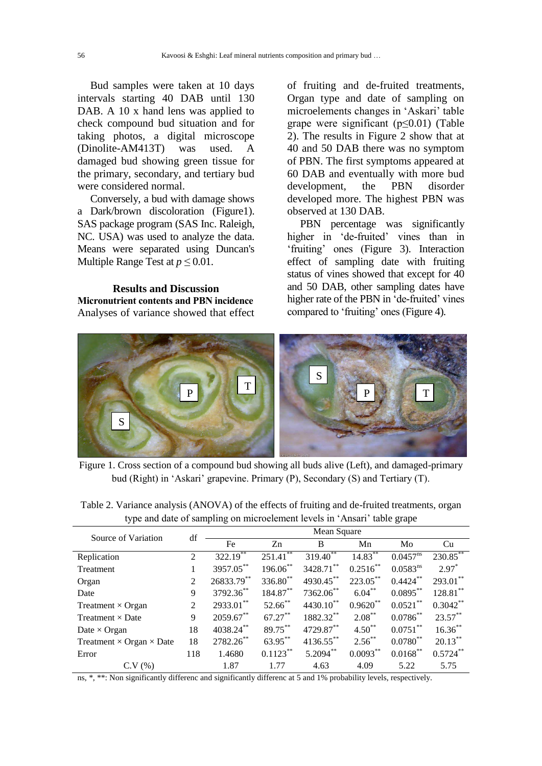Bud samples were taken at 10 days intervals starting 40 DAB until 130 DAB. A 10 x hand lens was applied to check compound bud situation and for taking photos, a digital microscope (Dinolite-AM413T) was used. A damaged bud showing green tissue for the primary, secondary, and tertiary bud were considered normal.

Conversely, a bud with damage shows a Dark/brown discoloration (Figure1). SAS package program (SAS Inc. Raleigh, NC. USA) was used to analyze the data. Means were separated using Duncan's Multiple Range Test at  $p \leq 0.01$ .

**Results and Discussion Micronutrient contents and PBN incidence** Analyses of variance showed that effect of fruiting and de-fruited treatments, Organ type and date of sampling on microelements changes in 'Askari' table grape were significant ( $p \leq 0.01$ ) (Table 2). The results in Figure 2 show that at 40 and 50 DAB there was no symptom of PBN. The first symptoms appeared at 60 DAB and eventually with more bud development, the PBN disorder developed more. The highest PBN was observed at 130 DAB.

PBN percentage was significantly higher in 'de-fruited' vines than in 'fruiting' ones (Figure 3). Interaction effect of sampling date with fruiting status of vines showed that except for 40 and 50 DAB, other sampling dates have higher rate of the PBN in 'de-fruited' vines compared to 'fruiting' ones (Figure 4).



Figure 1. Cross section of a compound bud showing all buds alive (Left), and damaged-primary bud (Right) in 'Askari' grapevine. Primary (P), Secondary (S) and Tertiary (T).

| Table 2. Variance analysis (ANOVA) of the effects of fruiting and de-fruited treatments, organ |  |
|------------------------------------------------------------------------------------------------|--|
| type and date of sampling on microelement levels in 'Ansari' table grape                       |  |

| Source of Variation                    | df             | Mean Square   |                          |                      |             |               |             |  |  |
|----------------------------------------|----------------|---------------|--------------------------|----------------------|-------------|---------------|-------------|--|--|
|                                        |                | Fe            | Z <sub>n</sub>           | B                    | Mn          | Mo            | Cu          |  |  |
| Replication                            | $\overline{2}$ | $322.19^{**}$ | $251.\overline{41}^{**}$ | 319.40 <sup>**</sup> | $14.83***$  | $0.0457^{ns}$ | 230.85**    |  |  |
| Treatment                              |                | 3957.05**     | 196.06**                 | 3428.71**            | $0.2516***$ | $0.0583^{ns}$ | $2.97^*$    |  |  |
| Organ                                  | 2              | 26833.79**    | $336.80^{**}$            | 4930.45**            | $223.05***$ | $0.4424***$   | $293.01$ ** |  |  |
| Date                                   | 9              | 3792.36**     | $184.87***$              | 7362.06**            | $6.04***$   | $0.0895***$   | $128.81***$ |  |  |
| Treatment $\times$ Organ               | $\mathfrak{D}$ | $2933.01$ **  | $52.66$ **               | 4430.10**            | $0.9620***$ | $0.0521***$   | $0.3042***$ |  |  |
| Treatment $\times$ Date                | 9              | $2059.67$ **  | $67.27***$               | 1882.32**            | $2.08***$   | $0.0786^{**}$ | $23.57***$  |  |  |
| Date $\times$ Organ                    | 18             | 4038.24**     | 89.75**                  | 4729.87**            | $4.50**$    | $0.0751***$   | $16.36***$  |  |  |
| Treatment $\times$ Organ $\times$ Date | 18             | 2782.26**     | 63.95**                  | $4136.55$ **         | $2.56$ **   | $0.0780^{**}$ | $20.13***$  |  |  |
| Error                                  | 118            | 1.4680        | $0.1123***$              | $5.2094***$          | $0.0093***$ | $0.0168***$   | $0.5724***$ |  |  |
| C.V(%)                                 |                | 1.87          | 1.77                     | 4.63                 | 4.09        | 5.22          | 5.75        |  |  |

ns, \*, \*\*: Non significantly differenc and significantly differenc at 5 and 1% probability levels, respectively.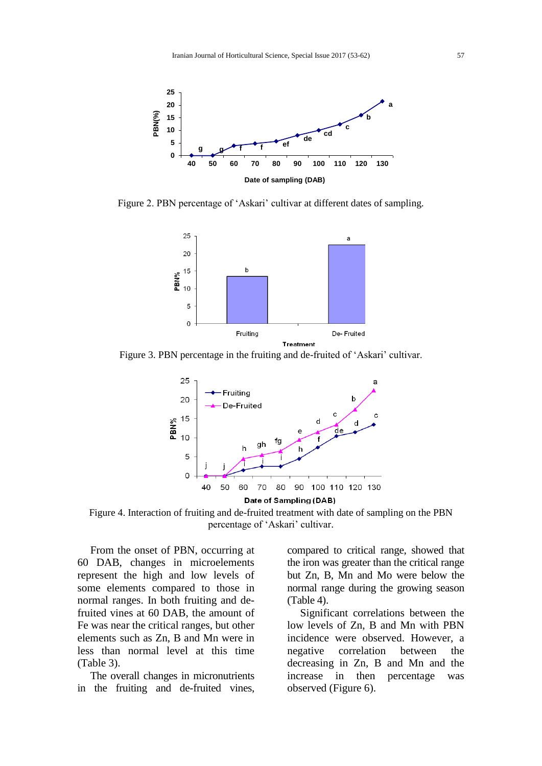

Figure 2. PBN percentage of 'Askari' cultivar at different dates of sampling.



Figure 3. PBN percentage in the fruiting and de-fruited of 'Askari' cultivar.



Figure 4. Interaction of fruiting and de-fruited treatment with date of sampling on the PBN percentage of 'Askari' cultivar.

From the onset of PBN, occurring at 60 DAB, changes in microelements represent the high and low levels of some elements compared to those in normal ranges. In both fruiting and defruited vines at 60 DAB, the amount of Fe was near the critical ranges, but other elements such as Zn, B and Mn were in less than normal level at this time (Table 3).

The overall changes in micronutrients in the fruiting and de-fruited vines, compared to critical range, showed that the iron was greater than the critical range but Zn, B, Mn and Mo were below the normal range during the growing season (Table 4).

Significant correlations between the low levels of Zn, B and Mn with PBN incidence were observed. However, a negative correlation between the decreasing in Zn, B and Mn and the increase in then percentage was observed (Figure 6).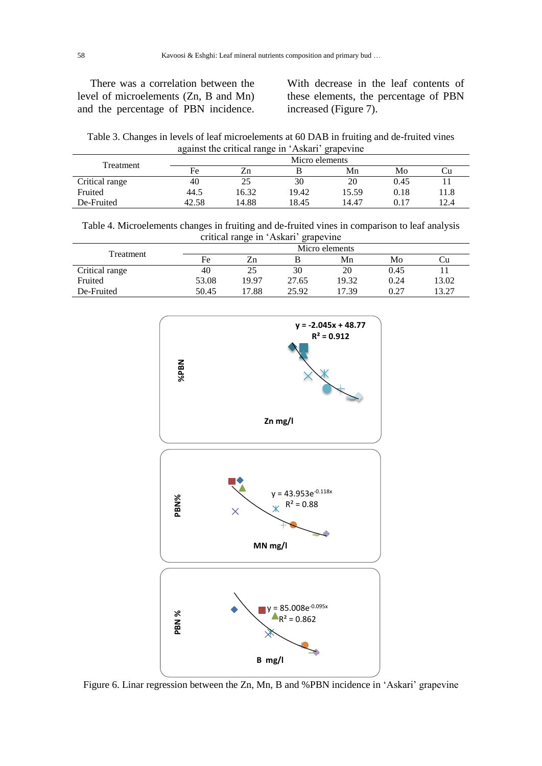There was a correlation between the level of microelements (Zn, B and Mn) and the percentage of PBN incidence. With decrease in the leaf contents of these elements, the percentage of PBN increased (Figure 7).

Table 3. Changes in levels of leaf microelements at 60 DAB in fruiting and de-fruited vines against the critical range in 'Askari' grapevine

| Treatment      | Micro elements |       |       |       |      |      |  |  |
|----------------|----------------|-------|-------|-------|------|------|--|--|
|                | Fe             | Zn    |       | Mn    | Mo   |      |  |  |
| Critical range | 40             | 25    | 30    | 20    | 0.45 |      |  |  |
| Fruited        | 44.5           | 16.32 | 19.42 | 15.59 | 0.18 | 11.8 |  |  |
| De-Fruited     | 42.58          | 14.88 | 18.45 | 14.47 | 0.17 | 12.4 |  |  |

Table 4. Microelements changes in fruiting and de-fruited vines in comparison to leaf analysis critical range in 'Askari' grapevine

| Treatment      | Micro elements |       |       |       |      |       |  |  |
|----------------|----------------|-------|-------|-------|------|-------|--|--|
|                | Fe             | /n    |       | Mn    | Mo   | ∪u    |  |  |
| Critical range | 40             | 25    | 30    | 20    | 0.45 |       |  |  |
| Fruited        | 53.08          | 19.97 | 27.65 | 19.32 | 0.24 | 13.02 |  |  |
| De-Fruited     | 50.45          | .7.88 | 25.92 | 17.39 | በ ን7 | 3.27  |  |  |



Figure 6. Linar regression between the Zn, Mn, B and %PBN incidence in 'Askari' grapevine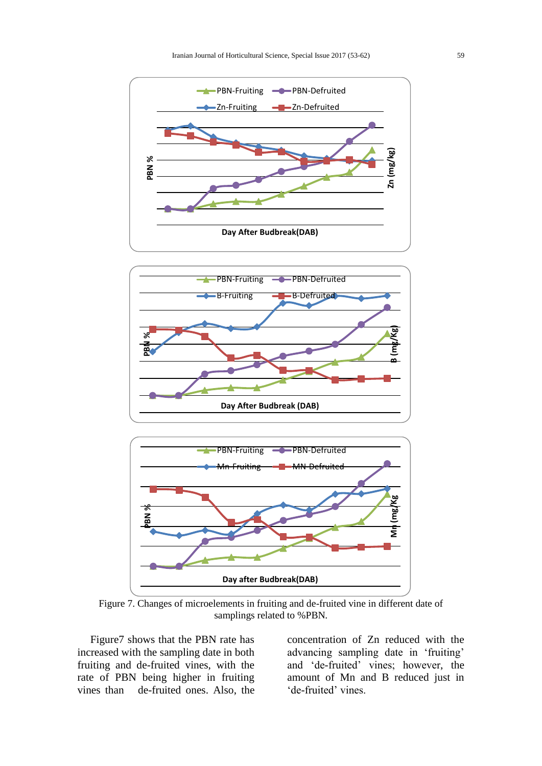



Figure 7. Changes of microelements in fruiting and de-fruited vine in different date of samplings related to %PBN.

Figure7 shows that the PBN rate has increased with the sampling date in both fruiting and de-fruited vines, with the rate of PBN being higher in fruiting vines than de-fruited ones. Also, the

concentration of Zn reduced with the advancing sampling date in 'fruiting' and 'de-fruited' vines; however, the amount of Mn and B reduced just in 'de-fruited' vines.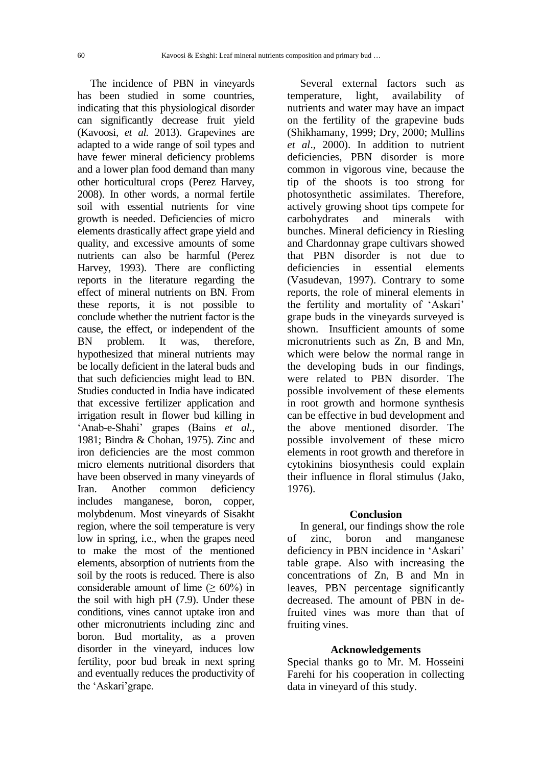The incidence of PBN in vineyards has been studied in some countries, indicating that this physiological disorder can significantly decrease fruit yield (Kavoosi, *et al.* 2013). Grapevines are adapted to a wide range of soil types and have fewer mineral deficiency problems and a lower plan food demand than many other horticultural crops (Perez Harvey, 2008). In other words, a normal fertile soil with essential nutrients for vine growth is needed. Deficiencies of micro elements drastically affect grape yield and quality, and excessive amounts of some nutrients can also be harmful (Perez Harvey, 1993). There are conflicting reports in the literature regarding the effect of mineral nutrients on BN. From these reports, it is not possible to conclude whether the nutrient factor is the cause, the effect, or independent of the BN problem. It was, therefore, hypothesized that mineral nutrients may be locally deficient in the lateral buds and that such deficiencies might lead to BN. Studies conducted in India have indicated that excessive fertilizer application and irrigation result in flower bud killing in 'Anab-e-Shahi' grapes (Bains *et al*., 1981; Bindra & Chohan, 1975). Zinc and iron deficiencies are the most common micro elements nutritional disorders that have been observed in many vineyards of Iran. Another common deficiency includes manganese, boron, copper, molybdenum. Most vineyards of Sisakht region, where the soil temperature is very low in spring, i.e., when the grapes need to make the most of the mentioned elements, absorption of nutrients from the soil by the roots is reduced. There is also considerable amount of lime ( $\geq 60\%$ ) in the soil with high pH (7.9). Under these conditions, vines cannot uptake iron and other micronutrients including zinc and boron. Bud mortality, as a proven disorder in the vineyard, induces low fertility, poor bud break in next spring and eventually reduces the productivity of the 'Askari'grape.

Several external factors such as temperature, light, availability of nutrients and water may have an impact on the fertility of the grapevine buds (Shikhamany, 1999; Dry, 2000; Mullins *et al*., 2000). In addition to nutrient deficiencies, PBN disorder is more common in vigorous vine, because the tip of the shoots is too strong for photosynthetic assimilates. Therefore, actively growing shoot tips compete for carbohydrates and minerals with bunches. Mineral deficiency in Riesling and Chardonnay grape cultivars showed that PBN disorder is not due to deficiencies in essential elements (Vasudevan, 1997). Contrary to some reports, the role of mineral elements in the fertility and mortality of 'Askari' grape buds in the vineyards surveyed is shown. Insufficient amounts of some micronutrients such as Zn, B and Mn, which were below the normal range in the developing buds in our findings, were related to PBN disorder. The possible involvement of these elements in root growth and hormone synthesis can be effective in bud development and the above mentioned disorder. The possible involvement of these micro elements in root growth and therefore in cytokinins biosynthesis could explain their influence in floral stimulus (Jako, 1976).

### **Conclusion**

In general, our findings show the role of zinc, boron and manganese deficiency in PBN incidence in 'Askari' table grape. Also with increasing the concentrations of Zn, B and Mn in leaves, PBN percentage significantly decreased. The amount of PBN in defruited vines was more than that of fruiting vines.

#### **Acknowledgements**

Special thanks go to Mr. M. Hosseini Farehi for his cooperation in collecting data in vineyard of this study.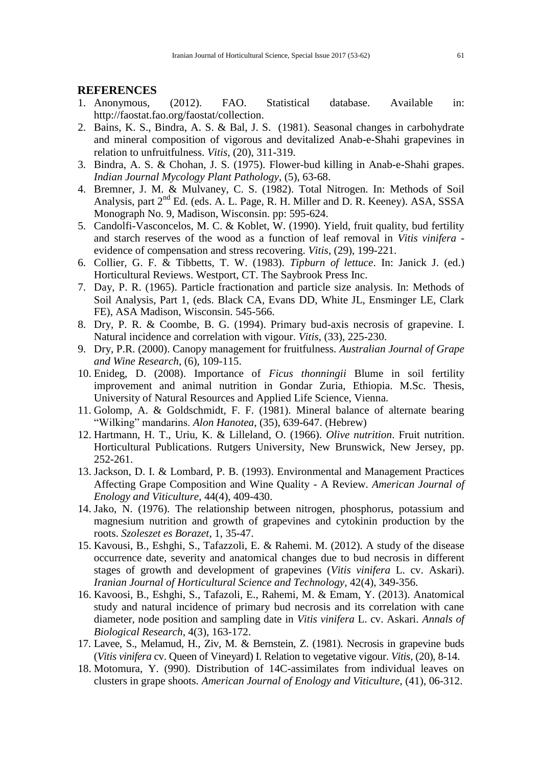## **REFERENCES**

- 1. Anonymous, (2012). FAO. Statistical database. Available in: http://faostat.fao.org/faostat/collection.
- 2. Bains, K. S., Bindra, A. S. & Bal, J. S. (1981). Seasonal changes in carbohydrate and mineral composition of vigorous and devitalized Anab-e-Shahi grapevines in relation to unfruitfulness. *Vitis,* (20), 311-319.
- 3. Bindra, A. S. & Chohan, J. S. (1975). Flower-bud killing in Anab-e-Shahi grapes. *Indian Journal Mycology Plant Pathology*, (5), 63-68.
- 4. Bremner, J. M. & Mulvaney, C. S. (1982). Total Nitrogen. In: Methods of Soil Analysis, part  $2^{nd}$  Ed. (eds. A. L. Page, R. H. Miller and D. R. Keeney). ASA, SSSA Monograph No. 9, Madison, Wisconsin. pp: 595-624.
- 5. Candolfi-Vasconcelos, M. C. & Koblet, W. (1990). Yield, fruit quality, bud fertility and starch reserves of the wood as a function of leaf removal in *Vitis vinifera*  evidence of compensation and stress recovering. *Vitis*, (29), 199-221.
- 6. Collier, G. F. & Tibbetts, T. W. (1983). *Tipburn of lettuce*. In: Janick J. (ed.) Horticultural Reviews. Westport, CT. The Saybrook Press Inc.
- 7. Day, P. R. (1965). Particle fractionation and particle size analysis. In: Methods of Soil Analysis, Part 1, (eds. Black CA, Evans DD, White JL, Ensminger LE, Clark FE), ASA Madison, Wisconsin. 545-566.
- 8. Dry, P. R. & Coombe, B. G. (1994). Primary bud-axis necrosis of grapevine. I. Natural incidence and correlation with vigour. *Vitis*, (33), 225-230.
- 9. Dry, P.R. (2000). Canopy management for fruitfulness. *Australian Journal of Grape and Wine Research*, (6), 109-115.
- 10. Enideg, D. (2008). Importance of *Ficus thonningii* Blume in soil fertility improvement and animal nutrition in Gondar Zuria, Ethiopia. M.Sc. Thesis, University of Natural Resources and Applied Life Science, Vienna.
- 11. Golomp, A. & Goldschmidt, F. F. (1981). Mineral balance of alternate bearing "Wilking" mandarins. *Alon Hanotea*, (35), 639-647. (Hebrew)
- 12. Hartmann, H. T., Uriu, K. & Lilleland, O. (1966). *Olive nutrition*. Fruit nutrition. Horticultural Publications. Rutgers University, New Brunswick, New Jersey, pp. 252-261.
- 13. Jackson, D. I. & Lombard, P. B. (1993). Environmental and Management Practices Affecting Grape Composition and Wine Quality - A Review. *American Journal of Enology and Viticulture*, 44(4), 409-430.
- 14. Jako, N. (1976). The relationship between nitrogen, phosphorus, potassium and magnesium nutrition and growth of grapevines and cytokinin production by the roots. *Szoleszet es Borazet*, 1, 35-47.
- 15. Kavousi, B., Eshghi, S., Tafazzoli, E. & Rahemi. M. (2012). A study of the disease occurrence date, severity and anatomical changes due to bud necrosis in different stages of growth and development of grapevines (*Vitis vinifera* L. cv. Askari). *Iranian Journal of Horticultural Science and Technology,* 42(4), 349-356.
- 16. Kavoosi, B., Eshghi, S., Tafazoli, E., Rahemi, M. & Emam, Y. (2013). Anatomical study and natural incidence of primary bud necrosis and its correlation with cane diameter, node position and sampling date in *Vitis vinifera* L. cv. Askari. *Annals of Biological Research*, 4(3), 163-172.
- 17. Lavee, S., Melamud, H., Ziv, M. & Bernstein, Z. (1981). Necrosis in grapevine buds (*Vitis vinifera* cv. Queen of Vineyard) I. Relation to vegetative vigour. *Vitis*, (20), 8-14.
- 18. Motomura, Y. (990). Distribution of 14C-assimilates from individual leaves on clusters in grape shoots. *American Journal of Enology and Viticulture*, (41), 06-312.